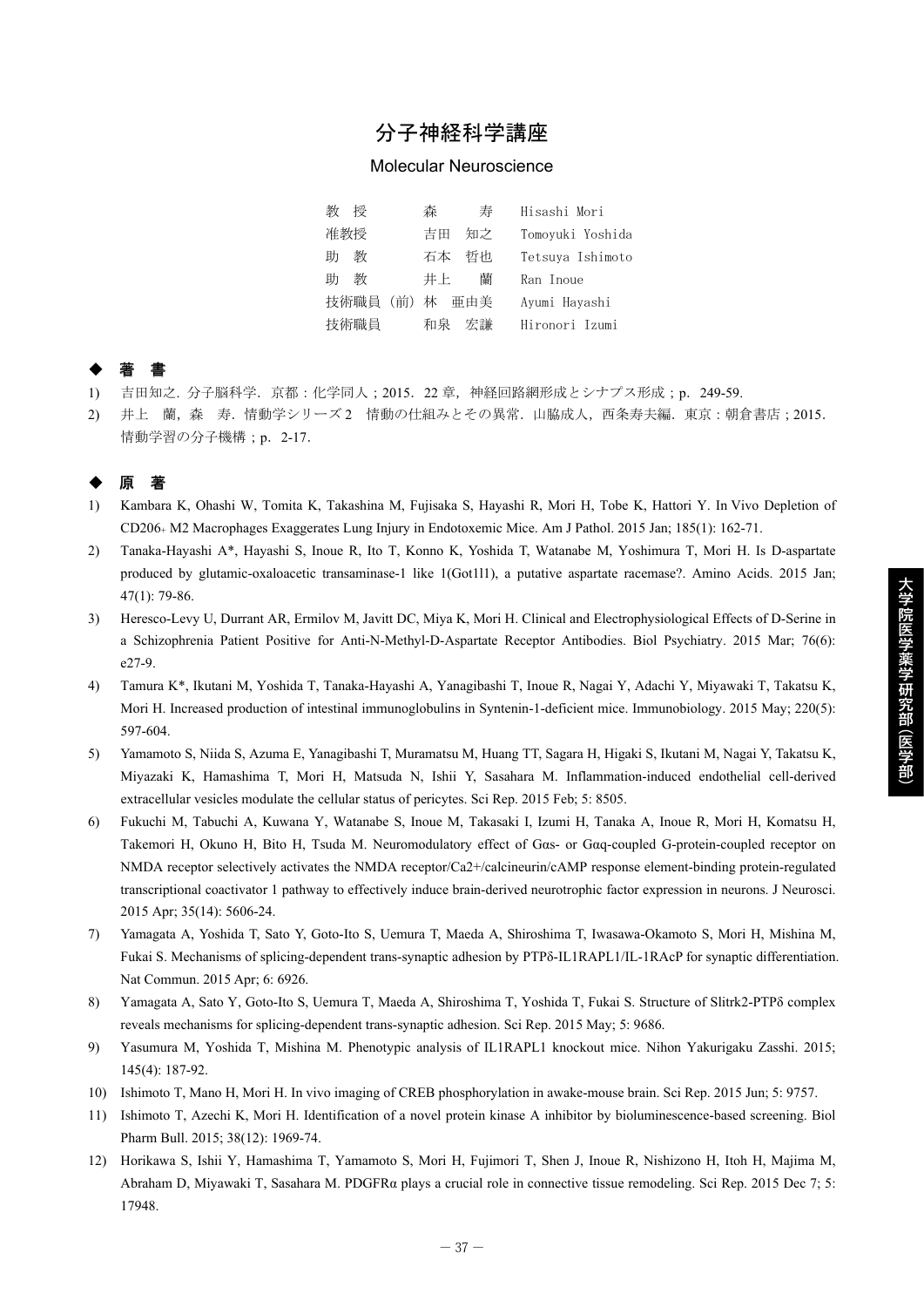# 分子神経科学講座

#### Molecular Neuroscience

| 数<br>桴         | 森<br>寿   | Hisashi Mori     |
|----------------|----------|------------------|
| 准教授            | 吉田<br>知之 | Tomoyuki Yoshida |
| 教<br>肍         | 石本<br>哲也 | Tetsuya Ishimoto |
| 教<br>肍         | 蘭<br>井上  | Ran Inoue        |
| 技術職員 (前) 林 亜由美 |          | Ayumi Hayashi    |
| 技術職員           | 宏謙<br>和泉 | Hironori Izumi   |

## ◆ 著 書

- 1) 吉田知之. 分子脳科学.京都:化学同人;2015.22 章,神経回路網形成とシナプス形成;p.249-59.
- 2) 井上 蘭,森 寿.情動学シリーズ 2 情動の仕組みとその異常.山脇成人,西条寿夫編.東京:朝倉書店;2015. 情動学習の分子機構;p. 2-17.

## ◆ 原 著

- 1) Kambara K, Ohashi W, Tomita K, Takashina M, Fujisaka S, Hayashi R, Mori H, Tobe K, Hattori Y. In Vivo Depletion of CD206+ M2 Macrophages Exaggerates Lung Injury in Endotoxemic Mice. Am J Pathol. 2015 Jan; 185(1): 162-71.
- 2) Tanaka-Hayashi A\*, Hayashi S, Inoue R, Ito T, Konno K, Yoshida T, Watanabe M, Yoshimura T, Mori H. Is D-aspartate produced by glutamic-oxaloacetic transaminase-1 like 1(Got1l1), a putative aspartate racemase?. Amino Acids. 2015 Jan; 47(1): 79-86.
- 3) Heresco-Levy U, Durrant AR, Ermilov M, Javitt DC, Miya K, Mori H. Clinical and Electrophysiological Effects of D-Serine in a Schizophrenia Patient Positive for Anti-N-Methyl-D-Aspartate Receptor Antibodies. Biol Psychiatry. 2015 Mar; 76(6): e27-9.
- 4) Tamura K\*, Ikutani M, Yoshida T, Tanaka-Hayashi A, Yanagibashi T, Inoue R, Nagai Y, Adachi Y, Miyawaki T, Takatsu K, Mori H. Increased production of intestinal immunoglobulins in Syntenin-1-deficient mice. Immunobiology. 2015 May; 220(5): 597-604.
- 5) Yamamoto S, Niida S, Azuma E, Yanagibashi T, Muramatsu M, Huang TT, Sagara H, Higaki S, Ikutani M, Nagai Y, Takatsu K, Miyazaki K, Hamashima T, Mori H, Matsuda N, Ishii Y, Sasahara M. Inflammation-induced endothelial cell-derived extracellular vesicles modulate the cellular status of pericytes. Sci Rep. 2015 Feb; 5: 8505.
- 6) Fukuchi M, Tabuchi A, Kuwana Y, Watanabe S, Inoue M, Takasaki I, Izumi H, Tanaka A, Inoue R, Mori H, Komatsu H, Takemori H, Okuno H, Bito H, Tsuda M. Neuromodulatory effect of Gαs- or Gαq-coupled G-protein-coupled receptor on NMDA receptor selectively activates the NMDA receptor/Ca2+/calcineurin/cAMP response element-binding protein-regulated transcriptional coactivator 1 pathway to effectively induce brain-derived neurotrophic factor expression in neurons. J Neurosci. 2015 Apr; 35(14): 5606-24.
- 7) Yamagata A, Yoshida T, Sato Y, Goto-Ito S, Uemura T, Maeda A, Shiroshima T, Iwasawa-Okamoto S, Mori H, Mishina M, Fukai S. Mechanisms of splicing-dependent trans-synaptic adhesion by PTPδ-IL1RAPL1/IL-1RAcP for synaptic differentiation. Nat Commun. 2015 Apr; 6: 6926.
- 8) Yamagata A, Sato Y, Goto-Ito S, Uemura T, Maeda A, Shiroshima T, Yoshida T, Fukai S, Structure of Slitrk2-PTPδ complex reveals mechanisms for splicing-dependent trans-synaptic adhesion. Sci Rep. 2015 May; 5: 9686.
- 9) Yasumura M, Yoshida T, Mishina M. Phenotypic analysis of IL1RAPL1 knockout mice. Nihon Yakurigaku Zasshi. 2015; 145(4): 187-92.
- 10) Ishimoto T, Mano H, Mori H. In vivo imaging of CREB phosphorylation in awake-mouse brain. Sci Rep. 2015 Jun; 5: 9757.
- 11) Ishimoto T, Azechi K, Mori H. Identification of a novel protein kinase A inhibitor by bioluminescence-based screening. Biol Pharm Bull. 2015; 38(12): 1969-74.
- 12) Horikawa S, Ishii Y, Hamashima T, Yamamoto S, Mori H, Fujimori T, Shen J, Inoue R, Nishizono H, Itoh H, Majima M, Abraham D, Miyawaki T, Sasahara M. PDGFRα plays a crucial role in connective tissue remodeling. Sci Rep. 2015 Dec 7; 5: 17948.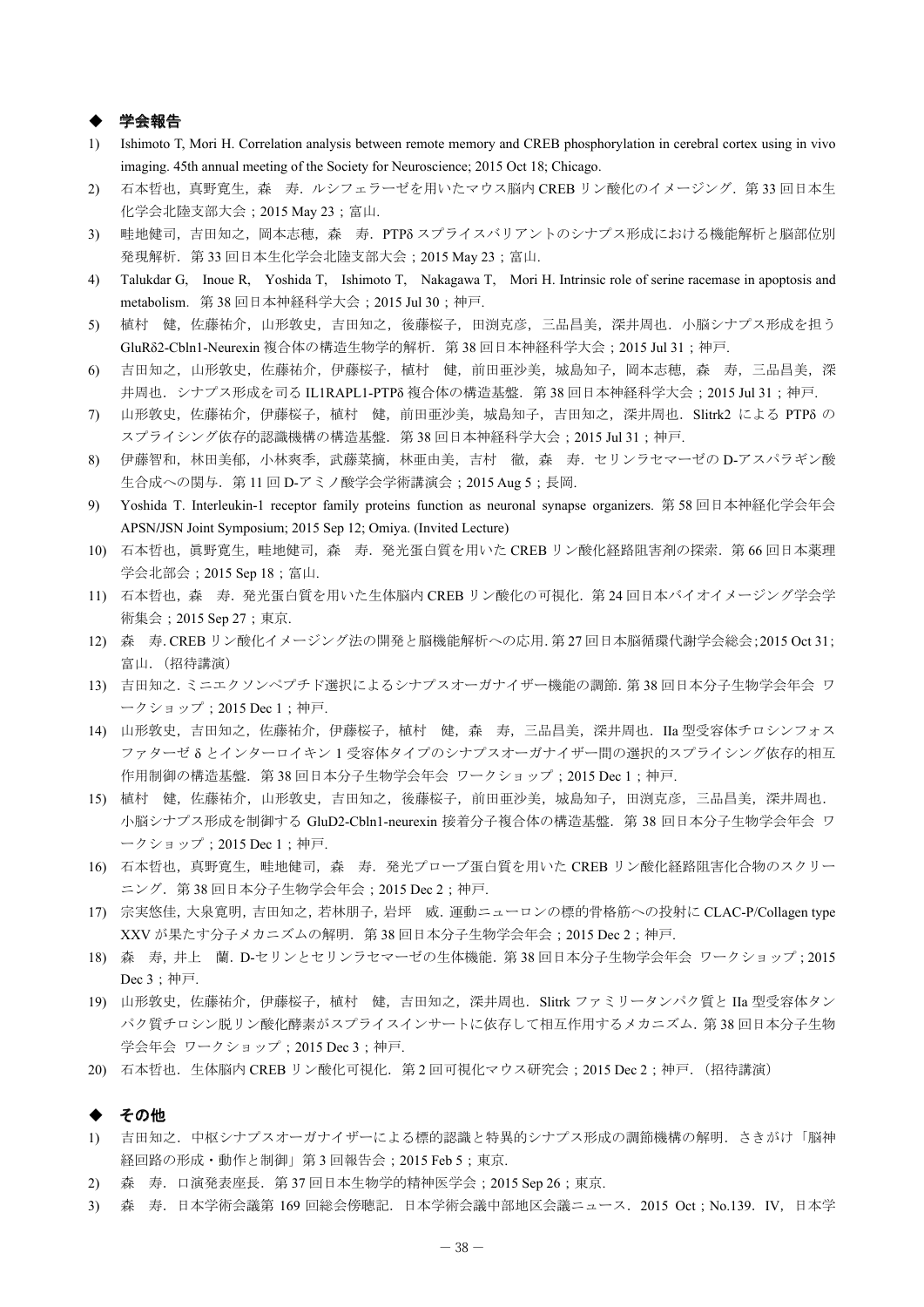### ◆ 学会報告

- 1) Ishimoto T, Mori H. Correlation analysis between remote memory and CREB phosphorylation in cerebral cortex using in vivo imaging. 45th annual meeting of the Society for Neuroscience; 2015 Oct 18; Chicago.
- 2) 石本哲也,真野寛生,森 寿. ルシフェラーゼを用いたマウス脳内 CREB リン酸化のイメージング. 第33回日本生 化学会北陸支部大会;2015 May 23;富山.
- 3) 畦地健司,吉田知之,岡本志穂,森 寿. PTPδ スプライスバリアントのシナプス形成における機能解析と脳部位別 発現解析. 第 33 回日本生化学会北陸支部大会; 2015 May 23; 富山.
- 4) Talukdar G, Inoue R, Yoshida T, Ishimoto T, Nakagawa T, Mori H. Intrinsic role of serine racemase in apoptosis and metabolism.第 38 回日本神経科学大会;2015 Jul 30;神戸.
- 5) 植村 健,佐藤祐介,山形敦史,吉田知之,後藤桜子,田渕克彦,三品昌美,深井周也.小脳シナプス形成を担う GluRδ2-Cbln1-Neurexin 複合体の構造生物学的解析.第 38 回日本神経科学大会;2015 Jul 31;神戸.
- 6) 吉田知之,山形敦史,佐藤祐介,伊藤桜子,植村 健,前田亜沙美,城島知子,岡本志穂,森 寿,三品昌美,深 井周也. シナプス形成を司る IL1RAPL1-PTPδ 複合体の構造基盤. 第38回日本神経科学大会;2015 Jul 31;神戸.
- 7) 山形敦史,佐藤祐介,伊藤桜子,植村 健,前田亜沙美,城島知子,吉田知之,深井周也.Slitrk2 による PTPδ の スプライシング依存的認識機構の構造基盤. 第 38 回日本神経科学大会; 2015 Jul 31; 神戸.
- 8) 伊藤智和,林田美郁,小林爽季,武藤菜摘,林亜由美,吉村 徹,森 寿.セリンラセマーゼの D-アスパラギン酸 生合成への関与. 第 11 回 D-アミノ酸学会学術講演会;2015 Aug 5;長岡.
- 9) Yoshida T. Interleukin-1 receptor family proteins function as neuronal synapse organizers. 第 58 回日本神経化学会年会 APSN**/**JSN Joint Symposium; 2015 Sep 12; Omiya. (Invited Lecture)
- 10) 石本哲也,真野寛生,畦地健司,森 寿. 発光蛋白質を用いた CREB リン酸化経路阻害剤の探索. 第66回日本薬理 学会北部会; 2015 Sep 18; 富山.
- 11) 石本哲也, 森 寿. 発光蛋白質を用いた生体脳内 CREB リン酸化の可視化. 第24回日本バイオイメージング学会学 術集会;2015 Sep 27;東京.
- 12) 森 寿.CREB リン酸化イメージング法の開発と脳機能解析への応用.第 27 回日本脳循環代謝学会総会;2015 Oct 31; 富山.(招待講演)
- 13) 吉田知之.ミニエクソンペプチド選択によるシナプスオーガナイザー機能の調節.第 38 回日本分子生物学会年会 ワ ークショップ;2015 Dec 1;神戸.
- 14) 山形敦史,吉田知之,佐藤祐介,伊藤桜子,植村 健,森 寿,三品昌美,深井周也.IIa 型受容体チロシンフォス ファターゼ δ とインターロイキン 1 受容体タイプのシナプスオーガナイザー間の選択的スプライシング依存的相互 作用制御の構造基盤.第 38 回日本分子生物学会年会 ワークショップ;2015 Dec 1;神戸.
- 15) 植村 健,佐藤祐介,山形敦史,吉田知之,後藤桜子,前田亜沙美,城島知子,田渕克彦,三品昌美,深井周也. 小脳シナプス形成を制御する GluD2-Cbln1-neurexin 接着分子複合体の構造基盤.第 38 回日本分子生物学会年会 ワ ークショップ;2015 Dec 1;神戸.
- 16) 石本哲也,真野寛生,畦地健司,森 寿. 発光プローブ蛋白質を用いた CREB リン酸化経路阻害化合物のスクリー ニング.第 38 回日本分子生物学会年会;2015 Dec 2;神戸.
- 17) 宗実悠佳,大泉寛明,吉田知之,若林朋子,岩坪 威.運動ニューロンの標的骨格筋への投射に CLAC-P/Collagen type XXV が果たす分子メカニズムの解明.第 38 回日本分子生物学会年会;2015 Dec 2;神戸.
- 18) 森 寿,井上 蘭.D-セリンとセリンラセマーゼの生体機能.第 38 回日本分子生物学会年会 ワークショップ;2015 Dec 3;神戸.
- 19) 山形敦史,佐藤祐介,伊藤桜子,植村 健,吉田知之,深井周也.Slitrk ファミリータンパク質と IIa 型受容体タン パク質チロシン脱リン酸化酵素がスプライスインサートに依存して相互作用するメカニズム.第 38 回日本分子生物 学会年会 ワークショップ;2015 Dec 3;神戸.
- 20) 石本哲也. 生体脳内 CREB リン酸化可視化. 第2回可視化マウス研究会;2015 Dec 2;神戸. (招待講演)

#### ◆ その他

- 1) 吉田知之.中枢シナプスオーガナイザーによる標的認識と特異的シナプス形成の調節機構の解明.さきがけ「脳神 経回路の形成・動作と制御」第 3 回報告会;2015 Feb 5;東京.
- 2) 森 寿.口演発表座長.第 37 回日本生物学的精神医学会;2015 Sep 26;東京.
- 3) 森 寿.日本学術会議第 169 回総会傍聴記.日本学術会議中部地区会議ニュース.2015 Oct;No.139.IV,日本学